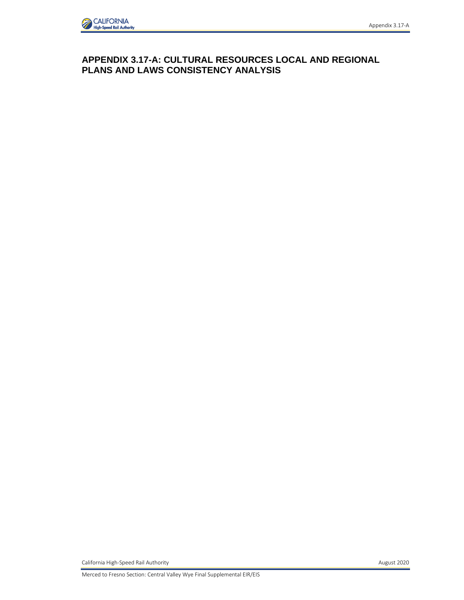

## **APPENDIX 3.17-A: CULTURAL RESOURCES LOCAL AND REGIONAL PLANS AND LAWS CONSISTENCY ANALYSIS**

California High-Speed Rail Authority **August 2020 August 2020**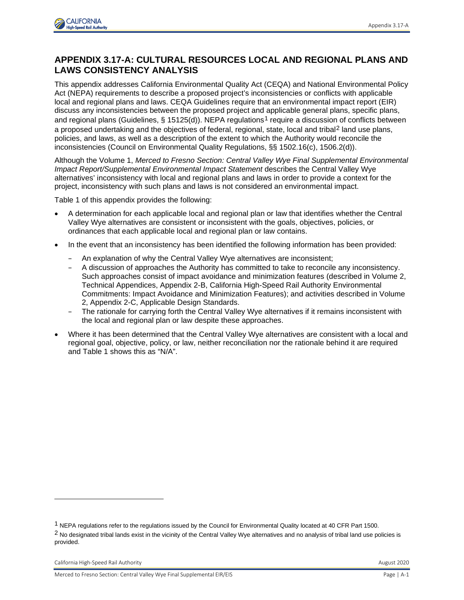

## **APPENDIX 3.17-A: CULTURAL RESOURCES LOCAL AND REGIONAL PLANS AND LAWS CONSISTENCY ANALYSIS**

This appendix addresses California Environmental Quality Act (CEQA) and National Environmental Policy Act (NEPA) requirements to describe a proposed project's inconsistencies or conflicts with applicable local and regional plans and laws. CEQA Guidelines require that an environmental impact report (EIR) discuss any inconsistencies between the proposed project and applicable general plans, specific plans, and regional plans (Guidelines, § [1](#page-1-0)5125(d)). NEPA regulations<sup>1</sup> require a discussion of conflicts between a proposed undertaking and the objectives of federal, regional, state, local and tribal<sup>[2](#page-1-1)</sup> land use plans, policies, and laws, as well as a description of the extent to which the Authority would reconcile the inconsistencies (Council on Environmental Quality Regulations, §§ 1502.16(c), 1506.2(d)).

Although the Volume 1, *Merced to Fresno Section: Central Valley Wye Final Supplemental Environmental Impact Report/Supplemental Environmental Impact Statement* describes the Central Valley Wye alternatives' inconsistency with local and regional plans and laws in order to provide a context for the project, inconsistency with such plans and laws is not considered an environmental impact.

Table 1 of this appendix provides the following:

- A determination for each applicable local and regional plan or law that identifies whether the Central Valley Wye alternatives are consistent or inconsistent with the goals, objectives, policies, or ordinances that each applicable local and regional plan or law contains.
- In the event that an inconsistency has been identified the following information has been provided:
	- An explanation of why the Central Valley Wye alternatives are inconsistent;
	- A discussion of approaches the Authority has committed to take to reconcile any inconsistency. Such approaches consist of impact avoidance and minimization features (described in Volume 2, Technical Appendices, Appendix 2-B, California High-Speed Rail Authority Environmental Commitments: Impact Avoidance and Minimization Features); and activities described in Volume 2, Appendix 2-C, Applicable Design Standards.
	- The rationale for carrying forth the Central Valley Wye alternatives if it remains inconsistent with the local and regional plan or law despite these approaches.
- Where it has been determined that the Central Valley Wye alternatives are consistent with a local and regional goal, objective, policy, or law, neither reconciliation nor the rationale behind it are required and Table 1 shows this as "N/A".

<span id="page-1-0"></span> $1$  NEPA regulations refer to the regulations issued by the Council for Environmental Quality located at 40 CFR Part 1500.

<span id="page-1-1"></span><sup>&</sup>lt;sup>2</sup> No designated tribal lands exist in the vicinity of the Central Valley Wye alternatives and no analysis of tribal land use policies is provided.

California High-Speed Rail Authority **August 2020 August 2020** 

Merced to Fresno Section: Central Valley Wye Final Supplemental EIR/EIS **Page 1 A-1** Page | A-1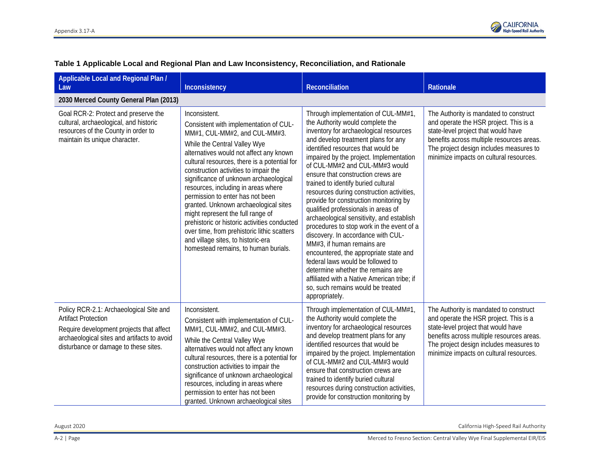

| Applicable Local and Regional Plan /<br>Law                                                                                                                                                               | Inconsistency                                                                                                                                                                                                                                                                                                                                                                                                                                                                                                                                                                                                                                | <b>Reconciliation</b>                                                                                                                                                                                                                                                                                                                                                                                                                                                                                                                                                                                                                                                                                                                                                                                                                                                          | Rationale                                                                                                                                                                                                                                                  |
|-----------------------------------------------------------------------------------------------------------------------------------------------------------------------------------------------------------|----------------------------------------------------------------------------------------------------------------------------------------------------------------------------------------------------------------------------------------------------------------------------------------------------------------------------------------------------------------------------------------------------------------------------------------------------------------------------------------------------------------------------------------------------------------------------------------------------------------------------------------------|--------------------------------------------------------------------------------------------------------------------------------------------------------------------------------------------------------------------------------------------------------------------------------------------------------------------------------------------------------------------------------------------------------------------------------------------------------------------------------------------------------------------------------------------------------------------------------------------------------------------------------------------------------------------------------------------------------------------------------------------------------------------------------------------------------------------------------------------------------------------------------|------------------------------------------------------------------------------------------------------------------------------------------------------------------------------------------------------------------------------------------------------------|
| 2030 Merced County General Plan (2013)                                                                                                                                                                    |                                                                                                                                                                                                                                                                                                                                                                                                                                                                                                                                                                                                                                              |                                                                                                                                                                                                                                                                                                                                                                                                                                                                                                                                                                                                                                                                                                                                                                                                                                                                                |                                                                                                                                                                                                                                                            |
| Goal RCR-2: Protect and preserve the<br>cultural, archaeological, and historic<br>resources of the County in order to<br>maintain its unique character.                                                   | Inconsistent.<br>Consistent with implementation of CUL-<br>MM#1, CUL-MM#2, and CUL-MM#3.<br>While the Central Valley Wye<br>alternatives would not affect any known<br>cultural resources, there is a potential for<br>construction activities to impair the<br>significance of unknown archaeological<br>resources, including in areas where<br>permission to enter has not been<br>granted. Unknown archaeological sites<br>might represent the full range of<br>prehistoric or historic activities conducted<br>over time, from prehistoric lithic scatters<br>and village sites, to historic-era<br>homestead remains, to human burials. | Through implementation of CUL-MM#1,<br>the Authority would complete the<br>inventory for archaeological resources<br>and develop treatment plans for any<br>identified resources that would be<br>impaired by the project. Implementation<br>of CUL-MM#2 and CUL-MM#3 would<br>ensure that construction crews are<br>trained to identify buried cultural<br>resources during construction activities,<br>provide for construction monitoring by<br>qualified professionals in areas of<br>archaeological sensitivity, and establish<br>procedures to stop work in the event of a<br>discovery. In accordance with CUL-<br>MM#3, if human remains are<br>encountered, the appropriate state and<br>federal laws would be followed to<br>determine whether the remains are<br>affiliated with a Native American tribe; if<br>so, such remains would be treated<br>appropriately. | The Authority is mandated to construct<br>and operate the HSR project. This is a<br>state-level project that would have<br>benefits across multiple resources areas.<br>The project design includes measures to<br>minimize impacts on cultural resources. |
| Policy RCR-2.1: Archaeological Site and<br><b>Artifact Protection</b><br>Require development projects that affect<br>archaeological sites and artifacts to avoid<br>disturbance or damage to these sites. | Inconsistent.<br>Consistent with implementation of CUL-<br>MM#1, CUL-MM#2, and CUL-MM#3.<br>While the Central Valley Wye<br>alternatives would not affect any known<br>cultural resources, there is a potential for<br>construction activities to impair the<br>significance of unknown archaeological<br>resources, including in areas where<br>permission to enter has not been<br>granted. Unknown archaeological sites                                                                                                                                                                                                                   | Through implementation of CUL-MM#1,<br>the Authority would complete the<br>inventory for archaeological resources<br>and develop treatment plans for any<br>identified resources that would be<br>impaired by the project. Implementation<br>of CUL-MM#2 and CUL-MM#3 would<br>ensure that construction crews are<br>trained to identify buried cultural<br>resources during construction activities,<br>provide for construction monitoring by                                                                                                                                                                                                                                                                                                                                                                                                                                | The Authority is mandated to construct<br>and operate the HSR project. This is a<br>state-level project that would have<br>benefits across multiple resources areas.<br>The project design includes measures to<br>minimize impacts on cultural resources. |

## **Table 1 Applicable Local and Regional Plan and Law Inconsistency, Reconciliation, and Rationale**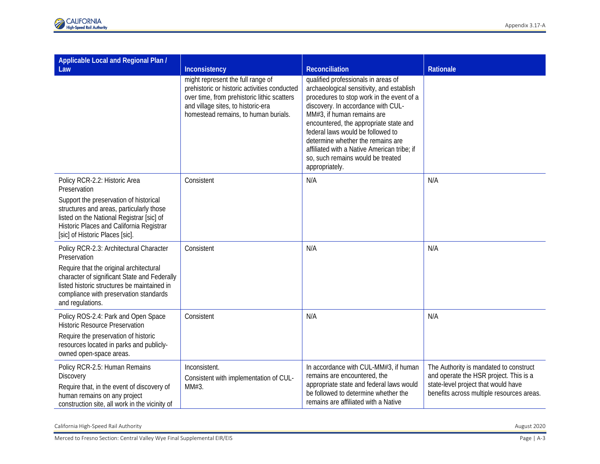| Applicable Local and Regional Plan /<br>Law                                                                                                                                                                                                                     | Inconsistency                                                                                                                                                                                                  | Reconciliation                                                                                                                                                                                                                                                                                                                                                                                                              | Rationale                                                                                                                                                            |
|-----------------------------------------------------------------------------------------------------------------------------------------------------------------------------------------------------------------------------------------------------------------|----------------------------------------------------------------------------------------------------------------------------------------------------------------------------------------------------------------|-----------------------------------------------------------------------------------------------------------------------------------------------------------------------------------------------------------------------------------------------------------------------------------------------------------------------------------------------------------------------------------------------------------------------------|----------------------------------------------------------------------------------------------------------------------------------------------------------------------|
|                                                                                                                                                                                                                                                                 | might represent the full range of<br>prehistoric or historic activities conducted<br>over time, from prehistoric lithic scatters<br>and village sites, to historic-era<br>homestead remains, to human burials. | qualified professionals in areas of<br>archaeological sensitivity, and establish<br>procedures to stop work in the event of a<br>discovery. In accordance with CUL-<br>MM#3, if human remains are<br>encountered, the appropriate state and<br>federal laws would be followed to<br>determine whether the remains are<br>affiliated with a Native American tribe; if<br>so, such remains would be treated<br>appropriately. |                                                                                                                                                                      |
| Policy RCR-2.2: Historic Area<br>Preservation<br>Support the preservation of historical<br>structures and areas, particularly those<br>listed on the National Registrar [sic] of<br>Historic Places and California Registrar<br>[sic] of Historic Places [sic]. | Consistent                                                                                                                                                                                                     | N/A                                                                                                                                                                                                                                                                                                                                                                                                                         | N/A                                                                                                                                                                  |
| Policy RCR-2.3: Architectural Character<br>Preservation<br>Require that the original architectural<br>character of significant State and Federally<br>listed historic structures be maintained in<br>compliance with preservation standards<br>and regulations. | Consistent                                                                                                                                                                                                     | N/A                                                                                                                                                                                                                                                                                                                                                                                                                         | N/A                                                                                                                                                                  |
| Policy ROS-2.4: Park and Open Space<br><b>Historic Resource Preservation</b><br>Require the preservation of historic<br>resources located in parks and publicly-<br>owned open-space areas.                                                                     | Consistent                                                                                                                                                                                                     | N/A                                                                                                                                                                                                                                                                                                                                                                                                                         | N/A                                                                                                                                                                  |
| Policy RCR-2.5: Human Remains<br>Discovery<br>Require that, in the event of discovery of<br>human remains on any project<br>construction site, all work in the vicinity of                                                                                      | Inconsistent.<br>Consistent with implementation of CUL-<br>MM#3.                                                                                                                                               | In accordance with CUL-MM#3, if human<br>remains are encountered, the<br>appropriate state and federal laws would<br>be followed to determine whether the<br>remains are affiliated with a Native                                                                                                                                                                                                                           | The Authority is mandated to construct<br>and operate the HSR project. This is a<br>state-level project that would have<br>benefits across multiple resources areas. |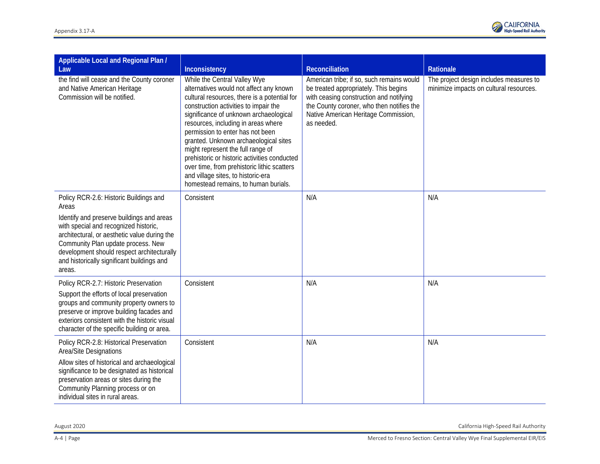

| Applicable Local and Regional Plan /<br>Law                                                                                                                                                                                                                                                                                       | Inconsistency                                                                                                                                                                                                                                                                                                                                                                                                                                                                                                                                    | <b>Reconciliation</b>                                                                                                                                                                                                            | Rationale                                                                          |
|-----------------------------------------------------------------------------------------------------------------------------------------------------------------------------------------------------------------------------------------------------------------------------------------------------------------------------------|--------------------------------------------------------------------------------------------------------------------------------------------------------------------------------------------------------------------------------------------------------------------------------------------------------------------------------------------------------------------------------------------------------------------------------------------------------------------------------------------------------------------------------------------------|----------------------------------------------------------------------------------------------------------------------------------------------------------------------------------------------------------------------------------|------------------------------------------------------------------------------------|
| the find will cease and the County coroner<br>and Native American Heritage<br>Commission will be notified.                                                                                                                                                                                                                        | While the Central Valley Wye<br>alternatives would not affect any known<br>cultural resources, there is a potential for<br>construction activities to impair the<br>significance of unknown archaeological<br>resources, including in areas where<br>permission to enter has not been<br>granted. Unknown archaeological sites<br>might represent the full range of<br>prehistoric or historic activities conducted<br>over time, from prehistoric lithic scatters<br>and village sites, to historic-era<br>homestead remains, to human burials. | American tribe; if so, such remains would<br>be treated appropriately. This begins<br>with ceasing construction and notifying<br>the County coroner, who then notifies the<br>Native American Heritage Commission,<br>as needed. | The project design includes measures to<br>minimize impacts on cultural resources. |
| Policy RCR-2.6: Historic Buildings and<br>Areas<br>Identify and preserve buildings and areas<br>with special and recognized historic,<br>architectural, or aesthetic value during the<br>Community Plan update process. New<br>development should respect architecturally<br>and historically significant buildings and<br>areas. | Consistent                                                                                                                                                                                                                                                                                                                                                                                                                                                                                                                                       | N/A                                                                                                                                                                                                                              | N/A                                                                                |
| Policy RCR-2.7: Historic Preservation<br>Support the efforts of local preservation<br>groups and community property owners to<br>preserve or improve building facades and<br>exteriors consistent with the historic visual<br>character of the specific building or area.                                                         | Consistent                                                                                                                                                                                                                                                                                                                                                                                                                                                                                                                                       | N/A                                                                                                                                                                                                                              | N/A                                                                                |
| Policy RCR-2.8: Historical Preservation<br>Area/Site Designations<br>Allow sites of historical and archaeological<br>significance to be designated as historical<br>preservation areas or sites during the<br>Community Planning process or on<br>individual sites in rural areas.                                                | Consistent                                                                                                                                                                                                                                                                                                                                                                                                                                                                                                                                       | N/A                                                                                                                                                                                                                              | N/A                                                                                |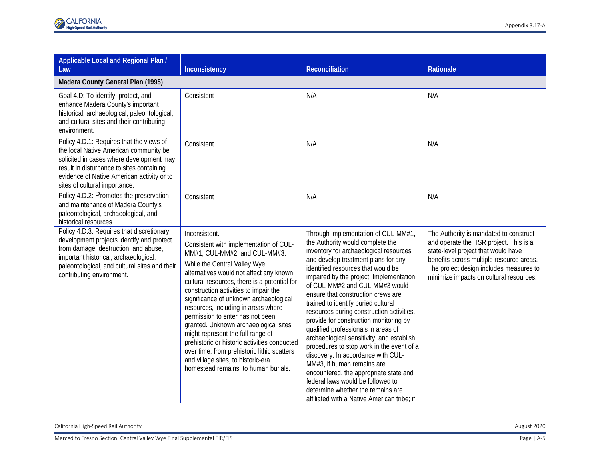| Applicable Local and Regional Plan /<br>Law                                                                                                                                                                                                                | Inconsistency                                                                                                                                                                                                                                                                                                                                                                                                                                                                                                                                                                                                                                | Reconciliation                                                                                                                                                                                                                                                                                                                                                                                                                                                                                                                                                                                                                                                                                                                                                                                                          | Rationale                                                                                                                                                                                                                                                 |
|------------------------------------------------------------------------------------------------------------------------------------------------------------------------------------------------------------------------------------------------------------|----------------------------------------------------------------------------------------------------------------------------------------------------------------------------------------------------------------------------------------------------------------------------------------------------------------------------------------------------------------------------------------------------------------------------------------------------------------------------------------------------------------------------------------------------------------------------------------------------------------------------------------------|-------------------------------------------------------------------------------------------------------------------------------------------------------------------------------------------------------------------------------------------------------------------------------------------------------------------------------------------------------------------------------------------------------------------------------------------------------------------------------------------------------------------------------------------------------------------------------------------------------------------------------------------------------------------------------------------------------------------------------------------------------------------------------------------------------------------------|-----------------------------------------------------------------------------------------------------------------------------------------------------------------------------------------------------------------------------------------------------------|
| Madera County General Plan (1995)                                                                                                                                                                                                                          |                                                                                                                                                                                                                                                                                                                                                                                                                                                                                                                                                                                                                                              |                                                                                                                                                                                                                                                                                                                                                                                                                                                                                                                                                                                                                                                                                                                                                                                                                         |                                                                                                                                                                                                                                                           |
| Goal 4.D: To identify, protect, and<br>enhance Madera County's important<br>historical, archaeological, paleontological,<br>and cultural sites and their contributing<br>environment.                                                                      | Consistent                                                                                                                                                                                                                                                                                                                                                                                                                                                                                                                                                                                                                                   | N/A                                                                                                                                                                                                                                                                                                                                                                                                                                                                                                                                                                                                                                                                                                                                                                                                                     | N/A                                                                                                                                                                                                                                                       |
| Policy 4.D.1: Requires that the views of<br>the local Native American community be<br>solicited in cases where development may<br>result in disturbance to sites containing<br>evidence of Native American activity or to<br>sites of cultural importance. | Consistent                                                                                                                                                                                                                                                                                                                                                                                                                                                                                                                                                                                                                                   | N/A                                                                                                                                                                                                                                                                                                                                                                                                                                                                                                                                                                                                                                                                                                                                                                                                                     | N/A                                                                                                                                                                                                                                                       |
| Policy 4.D.2: Promotes the preservation<br>and maintenance of Madera County's<br>paleontological, archaeological, and<br>historical resources.                                                                                                             | Consistent                                                                                                                                                                                                                                                                                                                                                                                                                                                                                                                                                                                                                                   | N/A                                                                                                                                                                                                                                                                                                                                                                                                                                                                                                                                                                                                                                                                                                                                                                                                                     | N/A                                                                                                                                                                                                                                                       |
| Policy 4.D.3: Requires that discretionary<br>development projects identify and protect<br>from damage, destruction, and abuse,<br>important historical, archaeological,<br>paleontological, and cultural sites and their<br>contributing environment.      | Inconsistent.<br>Consistent with implementation of CUL-<br>MM#1, CUL-MM#2, and CUL-MM#3.<br>While the Central Valley Wye<br>alternatives would not affect any known<br>cultural resources, there is a potential for<br>construction activities to impair the<br>significance of unknown archaeological<br>resources, including in areas where<br>permission to enter has not been<br>granted. Unknown archaeological sites<br>might represent the full range of<br>prehistoric or historic activities conducted<br>over time, from prehistoric lithic scatters<br>and village sites, to historic-era<br>homestead remains, to human burials. | Through implementation of CUL-MM#1,<br>the Authority would complete the<br>inventory for archaeological resources<br>and develop treatment plans for any<br>identified resources that would be<br>impaired by the project. Implementation<br>of CUL-MM#2 and CUL-MM#3 would<br>ensure that construction crews are<br>trained to identify buried cultural<br>resources during construction activities,<br>provide for construction monitoring by<br>qualified professionals in areas of<br>archaeological sensitivity, and establish<br>procedures to stop work in the event of a<br>discovery. In accordance with CUL-<br>MM#3, if human remains are<br>encountered, the appropriate state and<br>federal laws would be followed to<br>determine whether the remains are<br>affiliated with a Native American tribe; if | The Authority is mandated to construct<br>and operate the HSR project. This is a<br>state-level project that would have<br>benefits across multiple resource areas.<br>The project design includes measures to<br>minimize impacts on cultural resources. |

California High-Speed Rail Authority August 2020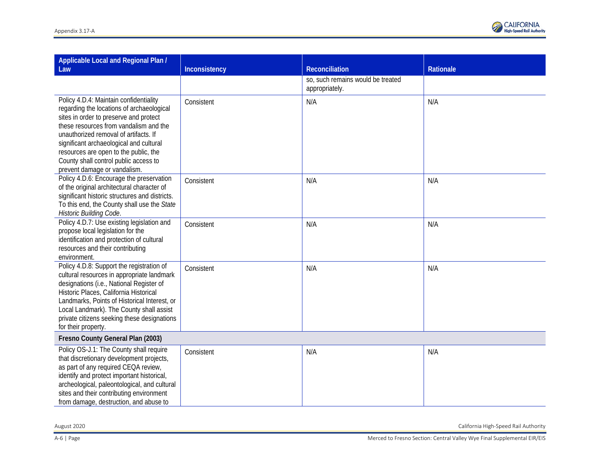| Applicable Local and Regional Plan /<br>Law                                                                                                                                                                                                                                                                                                                                   | Inconsistency | Reconciliation                                      | Rationale |
|-------------------------------------------------------------------------------------------------------------------------------------------------------------------------------------------------------------------------------------------------------------------------------------------------------------------------------------------------------------------------------|---------------|-----------------------------------------------------|-----------|
|                                                                                                                                                                                                                                                                                                                                                                               |               | so, such remains would be treated<br>appropriately. |           |
| Policy 4.D.4: Maintain confidentiality<br>regarding the locations of archaeological<br>sites in order to preserve and protect<br>these resources from vandalism and the<br>unauthorized removal of artifacts. If<br>significant archaeological and cultural<br>resources are open to the public, the<br>County shall control public access to<br>prevent damage or vandalism. | Consistent    | N/A                                                 | N/A       |
| Policy 4.D.6: Encourage the preservation<br>of the original architectural character of<br>significant historic structures and districts.<br>To this end, the County shall use the State<br>Historic Building Code.                                                                                                                                                            | Consistent    | N/A                                                 | N/A       |
| Policy 4.D.7: Use existing legislation and<br>propose local legislation for the<br>identification and protection of cultural<br>resources and their contributing<br>environment.                                                                                                                                                                                              | Consistent    | N/A                                                 | N/A       |
| Policy 4.D.8: Support the registration of<br>cultural resources in appropriate landmark<br>designations (i.e., National Register of<br>Historic Places, California Historical<br>Landmarks, Points of Historical Interest, or<br>Local Landmark). The County shall assist<br>private citizens seeking these designations<br>for their property.                               | Consistent    | N/A                                                 | N/A       |
| Fresno County General Plan (2003)                                                                                                                                                                                                                                                                                                                                             |               |                                                     |           |
| Policy OS-J.1: The County shall require<br>that discretionary development projects,<br>as part of any required CEQA review,<br>identify and protect important historical,<br>archeological, paleontological, and cultural<br>sites and their contributing environment<br>from damage, destruction, and abuse to                                                               | Consistent    | N/A                                                 | N/A       |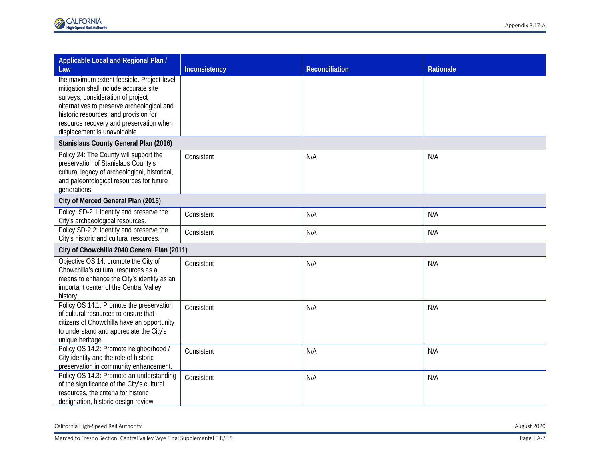| Applicable Local and Regional Plan /                                                                                                                                                                                                                                                        |               |                       |                  |
|---------------------------------------------------------------------------------------------------------------------------------------------------------------------------------------------------------------------------------------------------------------------------------------------|---------------|-----------------------|------------------|
| Law                                                                                                                                                                                                                                                                                         | Inconsistency | <b>Reconciliation</b> | <b>Rationale</b> |
| the maximum extent feasible. Project-level<br>mitigation shall include accurate site<br>surveys, consideration of project<br>alternatives to preserve archeological and<br>historic resources, and provision for<br>resource recovery and preservation when<br>displacement is unavoidable. |               |                       |                  |
| Stanislaus County General Plan (2016)                                                                                                                                                                                                                                                       |               |                       |                  |
| Policy 24: The County will support the<br>preservation of Stanislaus County's<br>cultural legacy of archeological, historical,<br>and paleontological resources for future<br>generations.                                                                                                  | Consistent    | N/A                   | N/A              |
| City of Merced General Plan (2015)                                                                                                                                                                                                                                                          |               |                       |                  |
| Policy: SD-2.1 Identify and preserve the<br>City's archaeological resources.                                                                                                                                                                                                                | Consistent    | N/A                   | N/A              |
| Policy SD-2.2: Identify and preserve the<br>City's historic and cultural resources.                                                                                                                                                                                                         | Consistent    | N/A                   | N/A              |
| City of Chowchilla 2040 General Plan (2011)                                                                                                                                                                                                                                                 |               |                       |                  |
| Objective OS 14: promote the City of<br>Chowchilla's cultural resources as a<br>means to enhance the City's identity as an<br>important center of the Central Valley<br>history.                                                                                                            | Consistent    | N/A                   | N/A              |
| Policy OS 14.1: Promote the preservation<br>of cultural resources to ensure that<br>citizens of Chowchilla have an opportunity<br>to understand and appreciate the City's<br>unique heritage.                                                                                               | Consistent    | N/A                   | N/A              |
| Policy OS 14.2: Promote neighborhood /<br>City identity and the role of historic<br>preservation in community enhancement.                                                                                                                                                                  | Consistent    | N/A                   | N/A              |
| Policy OS 14.3: Promote an understanding<br>of the significance of the City's cultural<br>resources, the criteria for historic<br>designation, historic design review                                                                                                                       | Consistent    | N/A                   | N/A              |

California High -Speed Rail Authority August 2020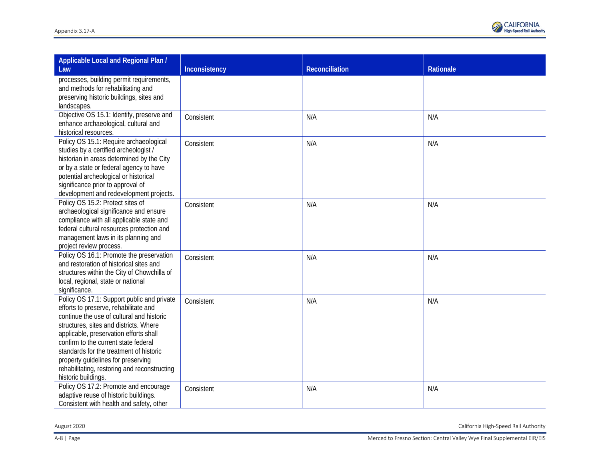

| Applicable Local and Regional Plan /                                                   |               |                |           |
|----------------------------------------------------------------------------------------|---------------|----------------|-----------|
| Law                                                                                    | Inconsistency | Reconciliation | Rationale |
| processes, building permit requirements,<br>and methods for rehabilitating and         |               |                |           |
| preserving historic buildings, sites and                                               |               |                |           |
| landscapes.                                                                            |               |                |           |
| Objective OS 15.1: Identify, preserve and                                              | Consistent    | N/A            | N/A       |
| enhance archaeological, cultural and<br>historical resources.                          |               |                |           |
| Policy OS 15.1: Require archaeological                                                 | Consistent    | N/A            | N/A       |
| studies by a certified archeologist /                                                  |               |                |           |
| historian in areas determined by the City                                              |               |                |           |
| or by a state or federal agency to have                                                |               |                |           |
| potential archeological or historical<br>significance prior to approval of             |               |                |           |
| development and redevelopment projects.                                                |               |                |           |
| Policy OS 15.2: Protect sites of                                                       | Consistent    | N/A            | N/A       |
| archaeological significance and ensure                                                 |               |                |           |
| compliance with all applicable state and<br>federal cultural resources protection and  |               |                |           |
| management laws in its planning and                                                    |               |                |           |
| project review process.                                                                |               |                |           |
| Policy OS 16.1: Promote the preservation                                               | Consistent    | N/A            | N/A       |
| and restoration of historical sites and<br>structures within the City of Chowchilla of |               |                |           |
| local, regional, state or national                                                     |               |                |           |
| significance.                                                                          |               |                |           |
| Policy OS 17.1: Support public and private                                             | Consistent    | N/A            | N/A       |
| efforts to preserve, rehabilitate and<br>continue the use of cultural and historic     |               |                |           |
| structures, sites and districts. Where                                                 |               |                |           |
| applicable, preservation efforts shall                                                 |               |                |           |
| confirm to the current state federal                                                   |               |                |           |
| standards for the treatment of historic                                                |               |                |           |
| property guidelines for preserving<br>rehabilitating, restoring and reconstructing     |               |                |           |
| historic buildings.                                                                    |               |                |           |
| Policy OS 17.2: Promote and encourage                                                  | Consistent    | N/A            | N/A       |
| adaptive reuse of historic buildings.                                                  |               |                |           |
| Consistent with health and safety, other                                               |               |                |           |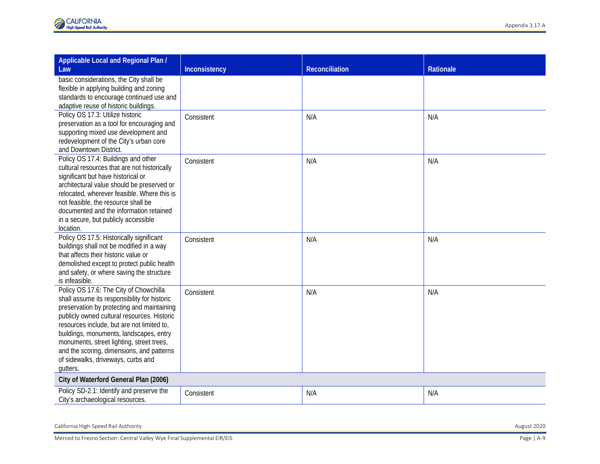| Applicable Local and Regional Plan /                                                  |               |                |           |
|---------------------------------------------------------------------------------------|---------------|----------------|-----------|
| Law                                                                                   | Inconsistency | Reconciliation | Rationale |
| basic considerations, the City shall be                                               |               |                |           |
| flexible in applying building and zoning                                              |               |                |           |
| standards to encourage continued use and                                              |               |                |           |
| adaptive reuse of historic buildings.<br>Policy OS 17.3: Utilize historic             |               |                |           |
| preservation as a tool for encouraging and                                            | Consistent    | N/A            | N/A       |
| supporting mixed use development and                                                  |               |                |           |
| redevelopment of the City's urban core                                                |               |                |           |
| and Downtown District.                                                                |               |                |           |
| Policy OS 17.4: Buildings and other                                                   | Consistent    | N/A            | N/A       |
| cultural resources that are not historically                                          |               |                |           |
| significant but have historical or                                                    |               |                |           |
| architectural value should be preserved or                                            |               |                |           |
| relocated, wherever feasible. Where this is                                           |               |                |           |
| not feasible, the resource shall be                                                   |               |                |           |
| documented and the information retained                                               |               |                |           |
| in a secure, but publicly accessible<br>location.                                     |               |                |           |
| Policy OS 17.5: Historically significant                                              |               |                |           |
| buildings shall not be modified in a way                                              | Consistent    | N/A            | N/A       |
| that affects their historic value or                                                  |               |                |           |
| demolished except to protect public health                                            |               |                |           |
| and safety, or where saving the structure                                             |               |                |           |
| is infeasible.                                                                        |               |                |           |
| Policy OS 17.6: The City of Chowchilla                                                | Consistent    | N/A            | N/A       |
| shall assume its responsibility for historic                                          |               |                |           |
| preservation by protecting and maintaining                                            |               |                |           |
| publicly owned cultural resources. Historic                                           |               |                |           |
| resources include, but are not limited to,<br>buildings, monuments, landscapes, entry |               |                |           |
| monuments, street lighting, street trees,                                             |               |                |           |
| and the scoring, dimensions, and patterns                                             |               |                |           |
| of sidewalks, driveways, curbs and                                                    |               |                |           |
| gutters.                                                                              |               |                |           |
| City of Waterford General Plan (2006)                                                 |               |                |           |
| Policy SD-2.1: Identify and preserve the                                              | Consistent    | N/A            | N/A       |
| City's archaeological resources.                                                      |               |                |           |

California High -Speed Rail Authority August 2020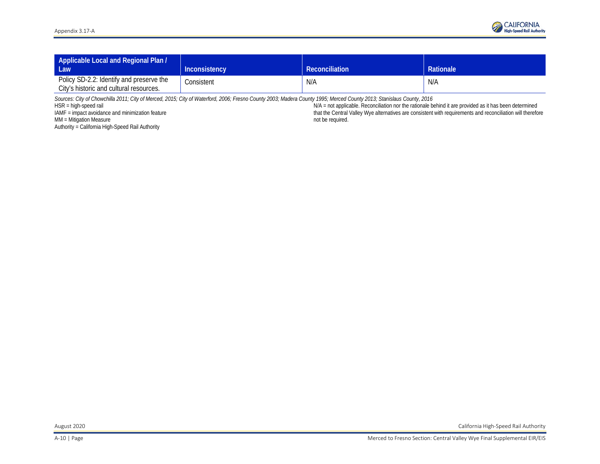| Applicable Local and Regional Plan /<br><b>Law</b>                                  | <b>Inconsistency</b> | <b>Reconciliation</b> | <b>Rationale</b> |
|-------------------------------------------------------------------------------------|----------------------|-----------------------|------------------|
| Policy SD-2.2: Identify and preserve the<br>City's historic and cultural resources. | Consistent           | N/A                   | N/A              |

*Sources: City of Chowchilla 2011; City of Merced, 2015; City of Waterford, 2006; Fresno County 2003; Madera County 1995; Merced County 2013; Stanislaus County, 2016* 

HSR = high-speed rail

IAMF = impact avoidance and minimization feature

MM = Mitigation Measure

Authority = California High-Speed Rail Authority

N/A = not applicable. Reconciliation nor the rationale behind it are provided as it has been determined that the Central Valley Wye alternatives are consistent with requirements and reconciliation will therefore not be required.